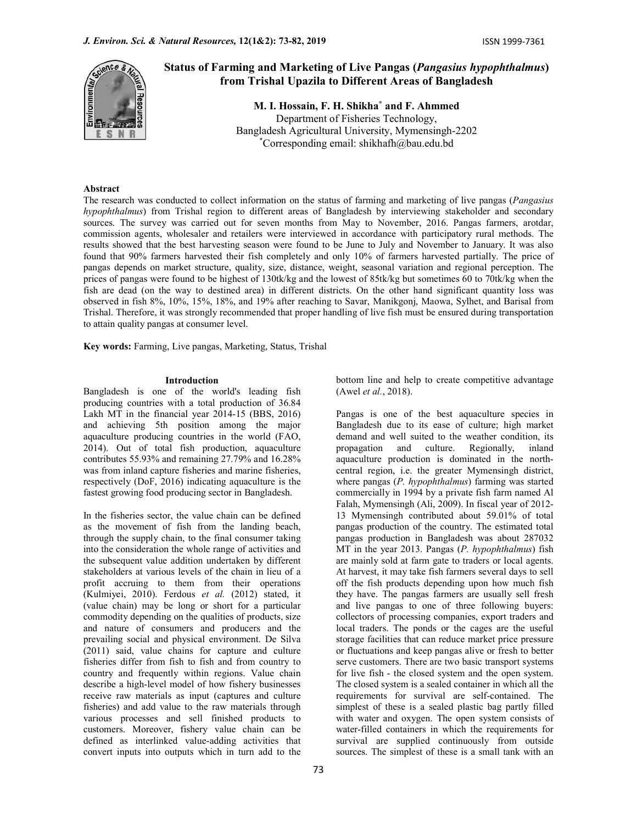

# Status of Farming and Marketing of Live Pangas (Pangasius hypophthalmus) from Trishal Upazila to Different Areas of Bangladesh

M. I. Hossain, F. H. Shikha\* and F. Ahmmed Department of Fisheries Technology, Bangladesh Agricultural University, Mymensingh-2202 \*Corresponding email: shikhafh@bau.edu.bd

# Abstract

The research was conducted to collect information on the status of farming and marketing of live pangas (Pangasius hypophthalmus) from Trishal region to different areas of Bangladesh by interviewing stakeholder and secondary sources. The survey was carried out for seven months from May to November, 2016. Pangas farmers, arotdar, commission agents, wholesaler and retailers were interviewed in accordance with participatory rural methods. The results showed that the best harvesting season were found to be June to July and November to January. It was also found that 90% farmers harvested their fish completely and only 10% of farmers harvested partially. The price of pangas depends on market structure, quality, size, distance, weight, seasonal variation and regional perception. The prices of pangas were found to be highest of 130tk/kg and the lowest of 85tk/kg but sometimes 60 to 70tk/kg when the fish are dead (on the way to destined area) in different districts. On the other hand significant quantity loss was observed in fish 8%, 10%, 15%, 18%, and 19% after reaching to Savar, Manikgonj, Maowa, Sylhet, and Barisal from Trishal. Therefore, it was strongly recommended that proper handling of live fish must be ensured during transportation to attain quality pangas at consumer level.

Key words: Farming, Live pangas, Marketing, Status, Trishal

#### Introduction

Bangladesh is one of the world's leading fish producing countries with a total production of 36.84 Lakh MT in the financial year 2014-15 (BBS, 2016) and achieving 5th position among the major aquaculture producing countries in the world (FAO, 2014). Out of total fish production, aquaculture contributes 55.93% and remaining 27.79% and 16.28% was from inland capture fisheries and marine fisheries, respectively (DoF, 2016) indicating aquaculture is the fastest growing food producing sector in Bangladesh.

In the fisheries sector, the value chain can be defined as the movement of fish from the landing beach, through the supply chain, to the final consumer taking into the consideration the whole range of activities and the subsequent value addition undertaken by different stakeholders at various levels of the chain in lieu of a profit accruing to them from their operations (Kulmiyei, 2010). Ferdous et al. (2012) stated, it (value chain) may be long or short for a particular commodity depending on the qualities of products, size and nature of consumers and producers and the prevailing social and physical environment. De Silva (2011) said, value chains for capture and culture fisheries differ from fish to fish and from country to country and frequently within regions. Value chain describe a high-level model of how fishery businesses receive raw materials as input (captures and culture fisheries) and add value to the raw materials through various processes and sell finished products to customers. Moreover, fishery value chain can be defined as interlinked value-adding activities that convert inputs into outputs which in turn add to the

bottom line and help to create competitive advantage (Awel et al., 2018).

Pangas is one of the best aquaculture species in Bangladesh due to its ease of culture; high market demand and well suited to the weather condition, its and culture. Regionally, inland aquaculture production is dominated in the northcentral region, i.e. the greater Mymensingh district, where pangas (P. hypophthalmus) farming was started commercially in 1994 by a private fish farm named Al Falah, Mymensingh (Ali, 2009). In fiscal year of 2012- 13 Mymensingh contributed about 59.01% of total pangas production of the country. The estimated total pangas production in Bangladesh was about 287032 MT in the year 2013. Pangas (P. hypophthalmus) fish are mainly sold at farm gate to traders or local agents. At harvest, it may take fish farmers several days to sell off the fish products depending upon how much fish they have. The pangas farmers are usually sell fresh and live pangas to one of three following buyers: collectors of processing companies, export traders and local traders. The ponds or the cages are the useful storage facilities that can reduce market price pressure or fluctuations and keep pangas alive or fresh to better serve customers. There are two basic transport systems for live fish - the closed system and the open system. The closed system is a sealed container in which all the requirements for survival are self-contained. The simplest of these is a sealed plastic bag partly filled with water and oxygen. The open system consists of water-filled containers in which the requirements for survival are supplied continuously from outside sources. The simplest of these is a small tank with an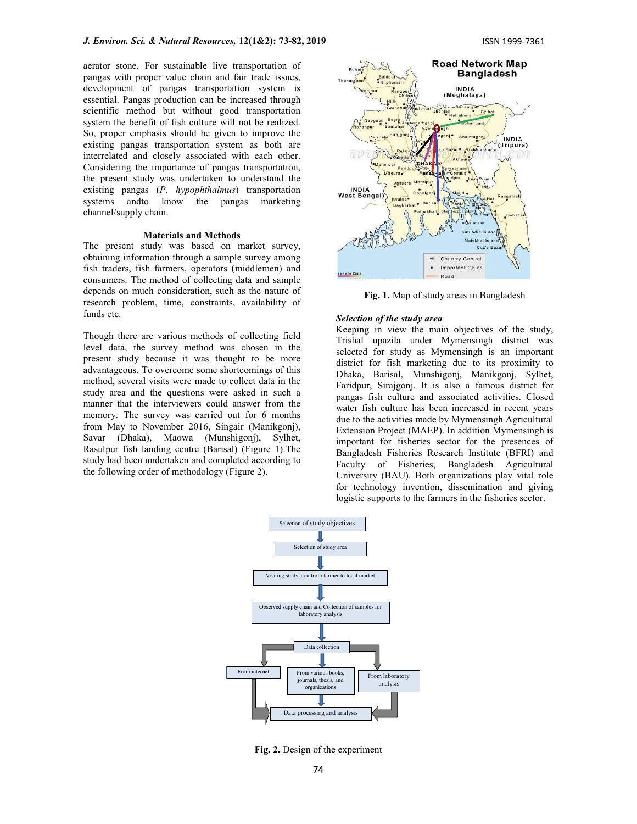aerator stone. For sustainable live transportation of pangas with proper value chain and fair trade issues, development of pangas transportation system is essential. Pangas production can be increased through scientific method but without good transportation system the benefit of fish culture will not be realized. So, proper emphasis should be given to improve the existing pangas transportation system as both are interrelated and closely associated with each other. Considering the importance of pangas transportation, the present study was undertaken to understand the existing pangas (P. hypophthalmus) transportation systems andto know the pangas marketing channel/supply chain.

## Materials and Methods

The present study was based on market survey, obtaining information through a sample survey among fish traders, fish farmers, operators (middlemen) and consumers. The method of collecting data and sample depends on much consideration, such as the nature of research problem, time, constraints, availability of funds etc.

Though there are various methods of collecting field level data, the survey method was chosen in the present study because it was thought to be more advantageous. To overcome some shortcomings of this method, several visits were made to collect data in the study area and the questions were asked in such a manner that the interviewers could answer from the memory. The survey was carried out for 6 months from May to November 2016, Singair (Manikgonj), Savar (Dhaka), Maowa (Munshigonj), Sylhet, Rasulpur fish landing centre (Barisal) (Figure 1).The study had been undertaken and completed according to the following order of methodology (Figure 2).



Fig. 1. Map of study areas in Bangladesh

#### Selection of the study area

Keeping in view the main objectives of the study, Trishal upazila under Mymensingh district was selected for study as Mymensingh is an important district for fish marketing due to its proximity to Dhaka, Barisal, Munshigonj, Manikgonj, Sylhet, Faridpur, Sirajgonj. It is also a famous district for pangas fish culture and associated activities. Closed water fish culture has been increased in recent years due to the activities made by Mymensingh Agricultural Extension Project (MAEP). In addition Mymensingh is important for fisheries sector for the presences of Bangladesh Fisheries Research Institute (BFRI) and Faculty of Fisheries, Bangladesh Agricultural University (BAU). Both organizations play vital role for technology invention, dissemination and giving logistic supports to the farmers in the fisheries sector.



Fig. 2. Design of the experiment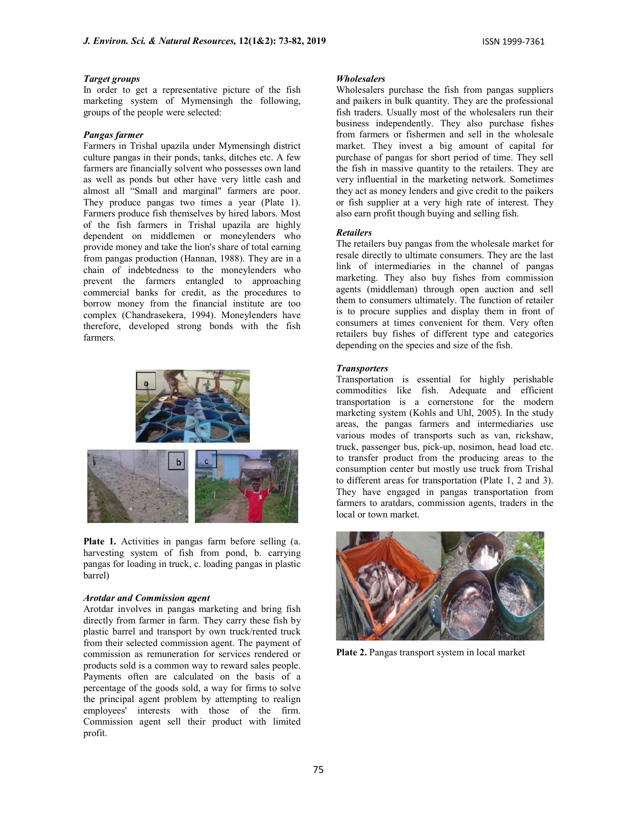# Target groups

In order to get a representative picture of the fish marketing system of Mymensingh the following, groups of the people were selected:

# Pangas farmer

Farmers in Trishal upazila under Mymensingh district culture pangas in their ponds, tanks, ditches etc. A few farmers are financially solvent who possesses own land as well as ponds but other have very little cash and almost all "Small and marginal" farmers are poor. They produce pangas two times a year (Plate 1). Farmers produce fish themselves by hired labors. Most of the fish farmers in Trishal upazila are highly dependent on middlemen or moneylenders who provide money and take the lion's share of total earning from pangas production (Hannan, 1988). They are in a chain of indebtedness to the moneylenders who prevent the farmers entangled to approaching commercial banks for credit, as the procedures to borrow money from the financial institute are too complex (Chandrasekera, 1994). Moneylenders have therefore, developed strong bonds with the fish farmers.



Plate 1. Activities in pangas farm before selling (a. harvesting system of fish from pond, b. carrying pangas for loading in truck, c. loading pangas in plastic barrel)

# Arotdar and Commission agent

Arotdar involves in pangas marketing and bring fish directly from farmer in farm. They carry these fish by plastic barrel and transport by own truck/rented truck from their selected commission agent. The payment of commission as remuneration for services rendered or products sold is a common way to reward sales people. Payments often are calculated on the basis of a percentage of the goods sold, a way for firms to solve the principal agent problem by attempting to realign employees' interests with those of the firm. Commission agent sell their product with limited profit.

#### **Wholesalers**

Wholesalers purchase the fish from pangas suppliers and paikers in bulk quantity. They are the professional fish traders. Usually most of the wholesalers run their business independently. They also purchase fishes from farmers or fishermen and sell in the wholesale market. They invest a big amount of capital for purchase of pangas for short period of time. They sell the fish in massive quantity to the retailers. They are very influential in the marketing network. Sometimes they act as money lenders and give credit to the paikers or fish supplier at a very high rate of interest. They also earn profit though buying and selling fish.

#### Retailers

The retailers buy pangas from the wholesale market for resale directly to ultimate consumers. They are the last link of intermediaries in the channel of pangas marketing. They also buy fishes from commission agents (middleman) through open auction and sell them to consumers ultimately. The function of retailer is to procure supplies and display them in front of consumers at times convenient for them. Very often retailers buy fishes of different type and categories depending on the species and size of the fish.

### **Transporters**

Transportation is essential for highly perishable commodities like fish. Adequate and efficient transportation is a cornerstone for the modern marketing system (Kohls and Uhl, 2005). In the study areas, the pangas farmers and intermediaries use various modes of transports such as van, rickshaw, truck, passenger bus, pick-up, nosimon, head load etc. to transfer product from the producing areas to the consumption center but mostly use truck from Trishal to different areas for transportation (Plate 1, 2 and 3). They have engaged in pangas transportation from farmers to aratdars, commission agents, traders in the local or town market.



Plate 2. Pangas transport system in local market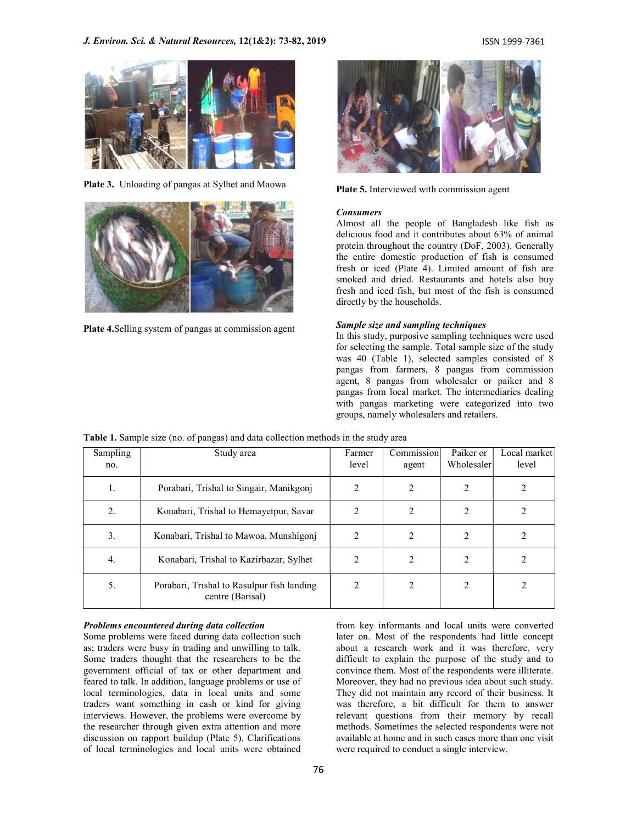

Plate 3. Unloading of pangas at Sylhet and Maowa



Plate 4.Selling system of pangas at commission agent



Plate 5. Interviewed with commission agent

# Consumers

Almost all the people of Bangladesh like fish as delicious food and it contributes about 63% of animal protein throughout the country (DoF, 2003). Generally the entire domestic production of fish is consumed fresh or iced (Plate 4). Limited amount of fish are smoked and dried. Restaurants and hotels also buy fresh and iced fish, but most of the fish is consumed directly by the households.

### Sample size and sampling techniques

In this study, purposive sampling techniques were used for selecting the sample. Total sample size of the study was 40 (Table 1), selected samples consisted of 8 pangas from farmers, 8 pangas from commission agent, 8 pangas from wholesaler or paiker and 8 pangas from local market. The intermediaries dealing with pangas marketing were categorized into two groups, namely wholesalers and retailers.

|  | Table 1. Sample size (no. of pangas) and data collection methods in the study area |  |
|--|------------------------------------------------------------------------------------|--|
|  |                                                                                    |  |

| Sampling<br>no. | Study area                                                     | Farmer<br>level | Commission<br>agent | Paiker or<br>Wholesaler | Local market<br>level |
|-----------------|----------------------------------------------------------------|-----------------|---------------------|-------------------------|-----------------------|
| 1.              | Porabari, Trishal to Singair, Manikgonj                        | 2               |                     | 2                       |                       |
|                 | Konabari, Trishal to Hemayetpur, Savar                         | 2               | 2                   | $\mathfrak{D}$          |                       |
| 3.              | Konabari, Trishal to Mawoa, Munshigonj                         | 2               |                     | $\mathfrak{D}$          |                       |
| 4.              | Konabari, Trishal to Kazirbazar, Sylhet                        | 2               | ↑                   |                         |                       |
| 5.              | Porabari, Trishal to Rasulpur fish landing<br>centre (Barisal) | 2               | 2                   | $\mathfrak{D}$          |                       |

#### Problems encountered during data collection

Some problems were faced during data collection such as; traders were busy in trading and unwilling to talk. Some traders thought that the researchers to be the government official of tax or other department and feared to talk. In addition, language problems or use of local terminologies, data in local units and some traders want something in cash or kind for giving interviews. However, the problems were overcome by the researcher through given extra attention and more discussion on rapport buildup (Plate 5). Clarifications of local terminologies and local units were obtained

from key informants and local units were converted later on. Most of the respondents had little concept about a research work and it was therefore, very difficult to explain the purpose of the study and to convince them. Most of the respondents were illiterate. Moreover, they had no previous idea about such study. They did not maintain any record of their business. It was therefore, a bit difficult for them to answer relevant questions from their memory by recall methods. Sometimes the selected respondents were not available at home and in such cases more than one visit were required to conduct a single interview.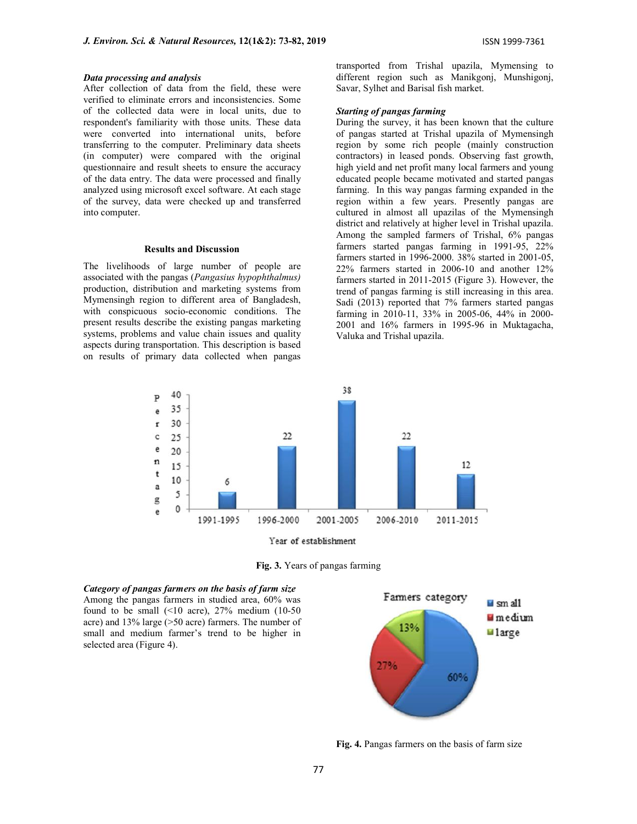#### Data processing and analysis

After collection of data from the field, these were verified to eliminate errors and inconsistencies. Some of the collected data were in local units, due to respondent's familiarity with those units. These data were converted into international units, before transferring to the computer. Preliminary data sheets (in computer) were compared with the original questionnaire and result sheets to ensure the accuracy of the data entry. The data were processed and finally analyzed using microsoft excel software. At each stage of the survey, data were checked up and transferred into computer.

#### Results and Discussion

The livelihoods of large number of people are associated with the pangas (Pangasius hypophthalmus) production, distribution and marketing systems from Mymensingh region to different area of Bangladesh, with conspicuous socio-economic conditions. The present results describe the existing pangas marketing systems, problems and value chain issues and quality aspects during transportation. This description is based on results of primary data collected when pangas

transported from Trishal upazila, Mymensing to different region such as Manikgonj, Munshigonj, Savar, Sylhet and Barisal fish market.

#### Starting of pangas farming

During the survey, it has been known that the culture of pangas started at Trishal upazila of Mymensingh region by some rich people (mainly construction contractors) in leased ponds. Observing fast growth, high yield and net profit many local farmers and young educated people became motivated and started pangas farming. In this way pangas farming expanded in the region within a few years. Presently pangas are cultured in almost all upazilas of the Mymensingh district and relatively at higher level in Trishal upazila. Among the sampled farmers of Trishal, 6% pangas farmers started pangas farming in 1991-95, 22% farmers started in 1996-2000. 38% started in 2001-05, 22% farmers started in 2006-10 and another 12% farmers started in 2011-2015 (Figure 3). However, the trend of pangas farming is still increasing in this area. Sadi (2013) reported that 7% farmers started pangas farming in 2010-11, 33% in 2005-06, 44% in 2000- 2001 and 16% farmers in 1995-96 in Muktagacha, Valuka and Trishal upazila.



Fig. 3. Years of pangas farming

# Category of pangas farmers on the basis of farm size<br>Among the pangas farmers in studied area. 60% was<br>Farmers category Among the pangas farmers in studied area, 60% was found to be small  $($ <10 acre), 27% medium  $(10-50)$ acre) and 13% large (>50 acre) farmers. The number of small and medium farmer's trend to be higher in selected area (Figure 4).



Fig. 4. Pangas farmers on the basis of farm size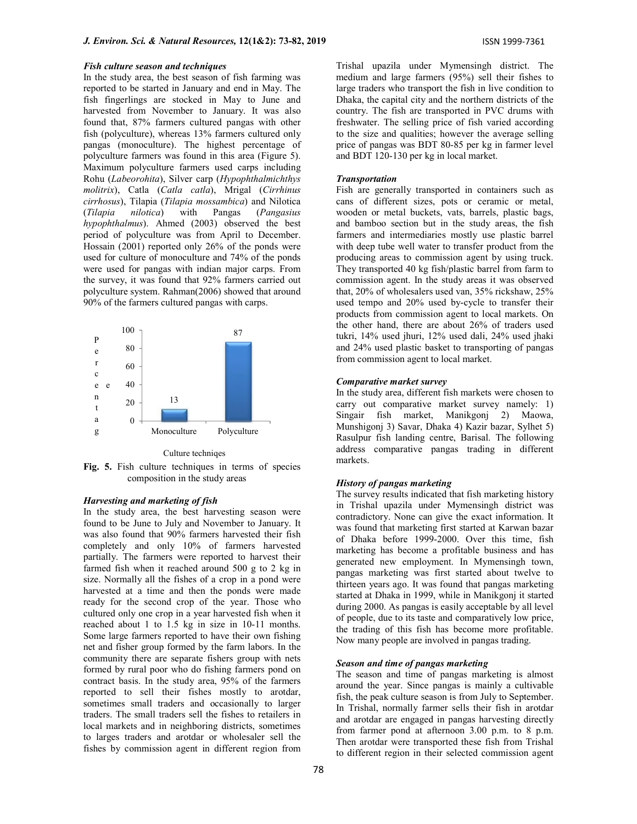In the study area, the best season of fish farming was reported to be started in January and end in May. The fish fingerlings are stocked in May to June and harvested from November to January. It was also found that, 87% farmers cultured pangas with other fish (polyculture), whereas 13% farmers cultured only pangas (monoculture). The highest percentage of polyculture farmers was found in this area (Figure 5). Maximum polyculture farmers used carps including Rohu (Labeorohita), Silver carp (Hypophthalmichthys molitrix), Catla (Catla catla), Mrigal (Cirrhinus cirrhosus), Tilapia (Tilapia mossambica) and Nilotica (Tilapia nilotica) with Pangas (Pangasius wooden or metal buckets, vats, barrels, plastic bags, hypophthalmus). Ahmed (2003) observed the best period of polyculture was from April to December. Hossain (2001) reported only 26% of the ponds were used for culture of monoculture and 74% of the ponds were used for pangas with indian major carps. From the survey, it was found that 92% farmers carried out polyculture system. Rahman(2006) showed that around 90% of the farmers cultured pangas with carps.



Culture techniqes

Fig. 5. Fish culture techniques in terms of species composition in the study areas

## Harvesting and marketing of fish

In the study area, the best harvesting season were found to be June to July and November to January. It was also found that 90% farmers harvested their fish completely and only 10% of farmers harvested partially. The farmers were reported to harvest their farmed fish when it reached around 500 g to 2 kg in size. Normally all the fishes of a crop in a pond were harvested at a time and then the ponds were made ready for the second crop of the year. Those who cultured only one crop in a year harvested fish when it reached about 1 to 1.5 kg in size in 10-11 months. Some large farmers reported to have their own fishing net and fisher group formed by the farm labors. In the community there are separate fishers group with nets formed by rural poor who do fishing farmers pond on contract basis. In the study area, 95% of the farmers reported to sell their fishes mostly to arotdar, sometimes small traders and occasionally to larger traders. The small traders sell the fishes to retailers in local markets and in neighboring districts, sometimes to larges traders and arotdar or wholesaler sell the fishes by commission agent in different region from

Trishal upazila under Mymensingh district. The medium and large farmers (95%) sell their fishes to large traders who transport the fish in live condition to Dhaka, the capital city and the northern districts of the country. The fish are transported in PVC drums with freshwater. The selling price of fish varied according to the size and qualities; however the average selling price of pangas was BDT 80-85 per kg in farmer level and BDT 120-130 per kg in local market.

#### **Transportation**

Fish are generally transported in containers such as cans of different sizes, pots or ceramic or metal, and bamboo section but in the study areas, the fish farmers and intermediaries mostly use plastic barrel with deep tube well water to transfer product from the producing areas to commission agent by using truck. They transported 40 kg fish/plastic barrel from farm to commission agent. In the study areas it was observed that, 20% of wholesalers used van, 35% rickshaw, 25% used tempo and 20% used by-cycle to transfer their products from commission agent to local markets. On the other hand, there are about 26% of traders used tukri, 14% used jhuri, 12% used dali, 24% used jhaki 87 and 24% used plastic basket to transporting of pangas from commission agent to local market. ulture farmers used carps including<br>
(Carla carla), Mrigal (Cirrhims<br>
17 **Transportation**<br>
(Carla carla), Mrigal (Cirrhims<br>
18 at generally transport in containers such as<br>
(Carla carla), Mrigal (Cirrhims<br>
18 at general v

#### Comparative market survey

In the study area, different fish markets were chosen to carry out comparative market survey namely: 1) Singair fish market, Manikgonj 2) Maowa, Munshigonj 3) Savar, Dhaka 4) Kazir bazar, Sylhet 5) Rasulpur fish landing centre, Barisal. The following address comparative pangas trading in different markets.

#### History of pangas marketing

The survey results indicated that fish marketing history in Trishal upazila under Mymensingh district was contradictory. None can give the exact information. It was found that marketing first started at Karwan bazar of Dhaka before 1999-2000. Over this time, fish marketing has become a profitable business and has generated new employment. In Mymensingh town, pangas marketing was first started about twelve to thirteen years ago. It was found that pangas marketing started at Dhaka in 1999, while in Manikgonj it started during 2000. As pangas is easily acceptable by all level of people, due to its taste and comparatively low price, the trading of this fish has become more profitable. Now many people are involved in pangas trading.

# Season and time of pangas marketing

The season and time of pangas marketing is almost around the year. Since pangas is mainly a cultivable fish, the peak culture season is from July to September. In Trishal, normally farmer sells their fish in arotdar and arotdar are engaged in pangas harvesting directly from farmer pond at afternoon 3.00 p.m. to 8 p.m. Then arotdar were transported these fish from Trishal to different region in their selected commission agent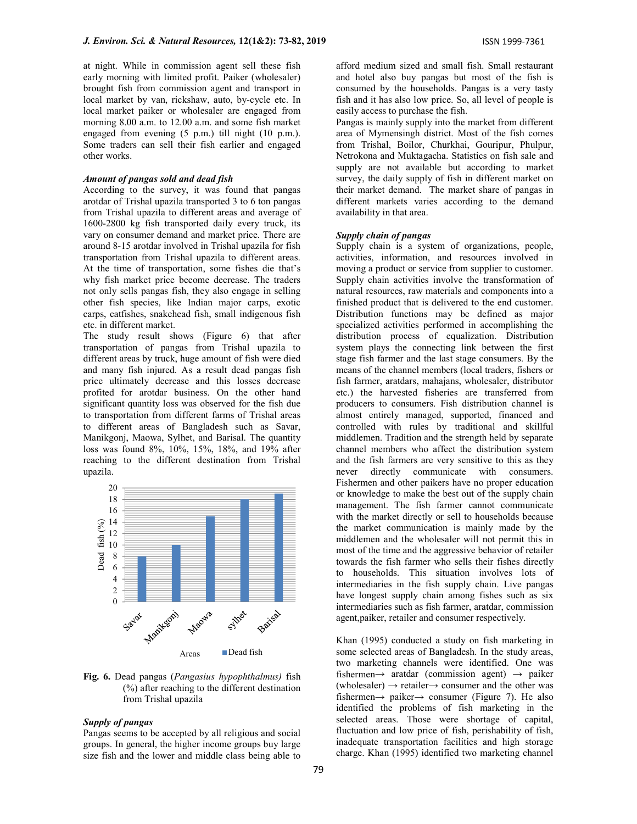at night. While in commission agent sell these fish early morning with limited profit. Paiker (wholesaler) brought fish from commission agent and transport in local market by van, rickshaw, auto, by-cycle etc. In local market paiker or wholesaler are engaged from morning 8.00 a.m. to 12.00 a.m. and some fish market engaged from evening (5 p.m.) till night (10 p.m.). Some traders can sell their fish earlier and engaged other works.

## Amount of pangas sold and dead fish

According to the survey, it was found that pangas arotdar of Trishal upazila transported 3 to 6 ton pangas from Trishal upazila to different areas and average of 1600-2800 kg fish transported daily every truck, its vary on consumer demand and market price. There are around 8-15 arotdar involved in Trishal upazila for fish transportation from Trishal upazila to different areas. At the time of transportation, some fishes die that's why fish market price become decrease. The traders not only sells pangas fish, they also engage in selling other fish species, like Indian major carps, exotic carps, catfishes, snakehead fish, small indigenous fish etc. in different market.

The study result shows (Figure 6) that after transportation of pangas from Trishal upazila to different areas by truck, huge amount of fish were died and many fish injured. As a result dead pangas fish price ultimately decrease and this losses decrease profited for arotdar business. On the other hand significant quantity loss was observed for the fish due to transportation from different farms of Trishal areas to different areas of Bangladesh such as Savar, Manikgonj, Maowa, Sylhet, and Barisal. The quantity loss was found 8%, 10%, 15%, 18%, and 19% after reaching to the different destination from Trishal upazila.



Fig. 6. Dead pangas (Pangasius hypophthalmus) fish (%) after reaching to the different destination from Trishal upazila

#### Supply of pangas

Pangas seems to be accepted by all religious and social groups. In general, the higher income groups buy large size fish and the lower and middle class being able to

afford medium sized and small fish. Small restaurant and hotel also buy pangas but most of the fish is consumed by the households. Pangas is a very tasty fish and it has also low price. So, all level of people is easily access to purchase the fish.

Pangas is mainly supply into the market from different area of Mymensingh district. Most of the fish comes from Trishal, Boilor, Churkhai, Gouripur, Phulpur, Netrokona and Muktagacha. Statistics on fish sale and supply are not available but according to market survey, the daily supply of fish in different market on their market demand. The market share of pangas in different markets varies according to the demand availability in that area.

## Supply chain of pangas

Supply chain is a system of organizations, people, activities, information, and resources involved in moving a product or service from supplier to customer. Supply chain activities involve the transformation of natural resources, raw materials and components into a finished product that is delivered to the end customer. Distribution functions may be defined as major specialized activities performed in accomplishing the distribution process of equalization. Distribution system plays the connecting link between the first stage fish farmer and the last stage consumers. By the means of the channel members (local traders, fishers or fish farmer, aratdars, mahajans, wholesaler, distributor etc.) the harvested fisheries are transferred from producers to consumers. Fish distribution channel is almost entirely managed, supported, financed and controlled with rules by traditional and skillful middlemen. Tradition and the strength held by separate channel members who affect the distribution system and the fish farmers are very sensitive to this as they never directly communicate with consumers. Fishermen and other paikers have no proper education or knowledge to make the best out of the supply chain management. The fish farmer cannot communicate with the market directly or sell to households because the market communication is mainly made by the middlemen and the wholesaler will not permit this in most of the time and the aggressive behavior of retailer towards the fish farmer who sells their fishes directly to households. This situation involves lots of intermediaries in the fish supply chain. Live pangas have longest supply chain among fishes such as six intermediaries such as fish farmer, aratdar, commission agent,paiker, retailer and consumer respectively.

Khan (1995) conducted a study on fish marketing in some selected areas of Bangladesh. In the study areas, two marketing channels were identified. One was fishermen $\rightarrow$  aratdar (commission agent)  $\rightarrow$  paiker (wholesaler)  $\rightarrow$  retailer $\rightarrow$  consumer and the other was fishermen $\rightarrow$  paiker $\rightarrow$  consumer (Figure 7). He also identified the problems of fish marketing in the selected areas. Those were shortage of capital, fluctuation and low price of fish, perishability of fish, inadequate transportation facilities and high storage charge. Khan (1995) identified two marketing channel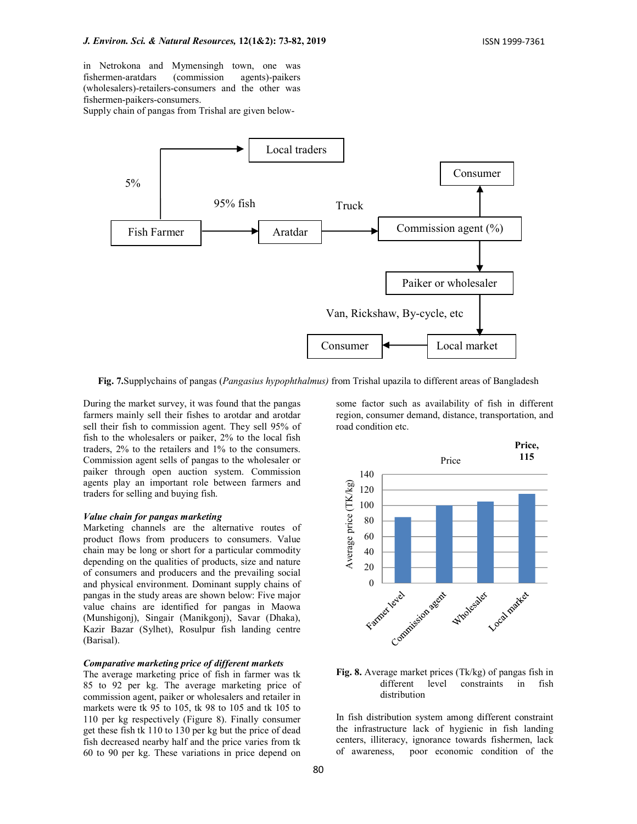in Netrokona and Mymensingh town, one was fishermen-aratdars (commission agents)-paikers (wholesalers)-retailers-consumers and the other was fishermen-paikers-consumers.

Supply chain of pangas from Trishal are given below-



Fig. 7.Supplychains of pangas (*Pangasius hypophthalmus*) from Trishal upazila to different areas of Bangladesh

During the market survey, it was found that the pangas farmers mainly sell their fishes to arotdar and arotdar sell their fish to commission agent. They sell 95% of fish to the wholesalers or paiker, 2% to the local fish traders, 2% to the retailers and 1% to the consumers. Commission agent sells of pangas to the wholesaler or paiker through open auction system. Commission agents play an important role between farmers and traders for selling and buying fish.

#### Value chain for pangas marketing

Marketing channels are the alternative routes of product flows from producers to consumers. Value chain may be long or short for a particular commodity depending on the qualities of products, size and nature of consumers and producers and the prevailing social and physical environment. Dominant supply chains of pangas in the study areas are shown below: Five major value chains are identified for pangas in Maowa (Munshigonj), Singair (Manikgonj), Savar (Dhaka), Kazir Bazar (Sylhet), Rosulpur fish landing centre (Barisal).

# Comparative marketing price of different markets

The average marketing price of fish in farmer was tk 85 to 92 per kg. The average marketing price of commission agent, paiker or wholesalers and retailer in markets were tk 95 to 105, tk 98 to 105 and tk 105 to 110 per kg respectively (Figure 8). Finally consumer get these fish tk 110 to 130 per kg but the price of dead fish decreased nearby half and the price varies from tk 60 to 90 per kg. These variations in price depend on

some factor such as availability of fish in different region, consumer demand, distance, transportation, and road condition etc.



# Fig. 8. Average market prices (Tk/kg) of pangas fish in different level constraints in fish distribution

In fish distribution system among different constraint the infrastructure lack of hygienic in fish landing centers, illiteracy, ignorance towards fishermen, lack of awareness, poor economic condition of the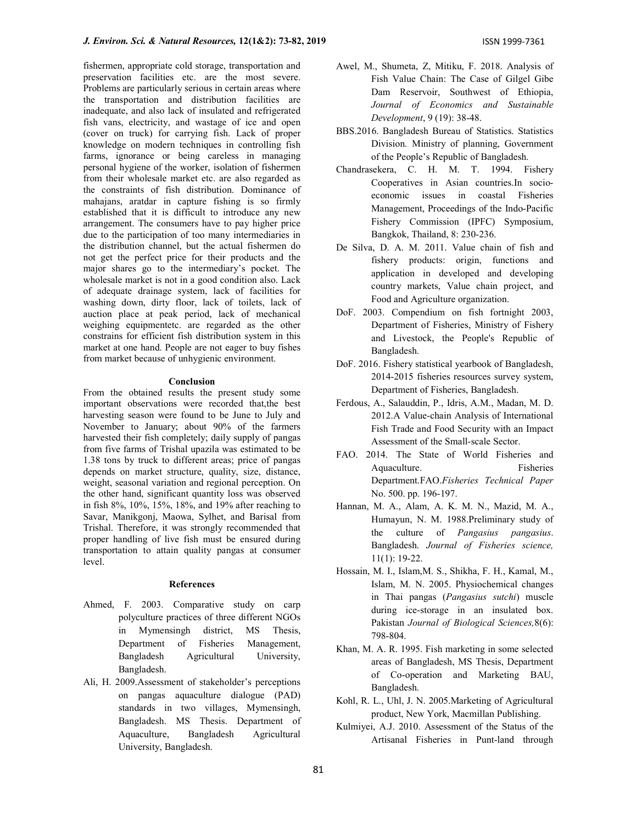fishermen, appropriate cold storage, transportation and preservation facilities etc. are the most severe. Problems are particularly serious in certain areas where the transportation and distribution facilities are inadequate, and also lack of insulated and refrigerated fish vans, electricity, and wastage of ice and open (cover on truck) for carrying fish. Lack of proper knowledge on modern techniques in controlling fish farms, ignorance or being careless in managing personal hygiene of the worker, isolation of fishermen from their wholesale market etc. are also regarded as the constraints of fish distribution. Dominance of mahajans, aratdar in capture fishing is so firmly established that it is difficult to introduce any new arrangement. The consumers have to pay higher price due to the participation of too many intermediaries in the distribution channel, but the actual fishermen do not get the perfect price for their products and the major shares go to the intermediary's pocket. The wholesale market is not in a good condition also. Lack of adequate drainage system, lack of facilities for washing down, dirty floor, lack of toilets, lack of auction place at peak period, lack of mechanical weighing equipmentetc. are regarded as the other constrains for efficient fish distribution system in this market at one hand. People are not eager to buy fishes from market because of unhygienic environment.

#### Conclusion

From the obtained results the present study some important observations were recorded that,the best harvesting season were found to be June to July and November to January; about 90% of the farmers harvested their fish completely; daily supply of pangas from five farms of Trishal upazila was estimated to be 1.38 tons by truck to different areas; price of pangas depends on market structure, quality, size, distance, weight, seasonal variation and regional perception. On the other hand, significant quantity loss was observed in fish 8%, 10%, 15%, 18%, and 19% after reaching to Savar, Manikgonj, Maowa, Sylhet, and Barisal from Trishal. Therefore, it was strongly recommended that proper handling of live fish must be ensured during transportation to attain quality pangas at consumer level.

### References

- Ahmed, F. 2003. Comparative study on carp polyculture practices of three different NGOs in Mymensingh district, MS Thesis, Department of Fisheries Management, Bangladesh Agricultural University, Bangladesh.
- Ali, H. 2009.Assessment of stakeholder's perceptions on pangas aquaculture dialogue (PAD) standards in two villages, Mymensingh, Bangladesh. MS Thesis. Department of Aquaculture, Bangladesh Agricultural University, Bangladesh.
- Awel, M., Shumeta, Z, Mitiku, F. 2018. Analysis of Fish Value Chain: The Case of Gilgel Gibe Dam Reservoir, Southwest of Ethiopia, Journal of Economics and Sustainable Development, 9 (19): 38-48.
- BBS.2016. Bangladesh Bureau of Statistics. Statistics Division. Ministry of planning, Government of the People's Republic of Bangladesh.
- Chandrasekera, C. H. M. T. 1994. Fishery Cooperatives in Asian countries.In socioeconomic issues in coastal Fisheries Management, Proceedings of the Indo-Pacific Fishery Commission (IPFC) Symposium, Bangkok, Thailand, 8: 230-236.
- De Silva, D. A. M. 2011. Value chain of fish and fishery products: origin, functions and application in developed and developing country markets, Value chain project, and Food and Agriculture organization.
- DoF. 2003. Compendium on fish fortnight 2003, Department of Fisheries, Ministry of Fishery and Livestock, the People's Republic of Bangladesh.
- DoF. 2016. Fishery statistical yearbook of Bangladesh, 2014-2015 fisheries resources survey system, Department of Fisheries, Bangladesh.
- Ferdous, A., Salauddin, P., Idris, A.M., Madan, M. D. 2012.A Value-chain Analysis of International Fish Trade and Food Security with an Impact Assessment of the Small-scale Sector.
- FAO. 2014. The State of World Fisheries and Aquaculture. Fisheries Department.FAO.Fisheries Technical Paper No. 500. pp. 196-197.
- Hannan, M. A., Alam, A. K. M. N., Mazid, M. A., Humayun, N. M. 1988.Preliminary study of the culture of *Pangasius pangasius*. Bangladesh. Journal of Fisheries science, 11(1): 19-22.
- Hossain, M. I., Islam,M. S., Shikha, F. H., Kamal, M., Islam, M. N. 2005. Physiochemical changes in Thai pangas (Pangasius sutchi) muscle during ice-storage in an insulated box. Pakistan Journal of Biological Sciences,8(6): 798-804.
- Khan, M. A. R. 1995. Fish marketing in some selected areas of Bangladesh, MS Thesis, Department of Co-operation and Marketing BAU, Bangladesh.
- Kohl, R. L., Uhl, J. N. 2005.Marketing of Agricultural product, New York, Macmillan Publishing.
- Kulmiyei, A.J. 2010. Assessment of the Status of the Artisanal Fisheries in Punt-land through